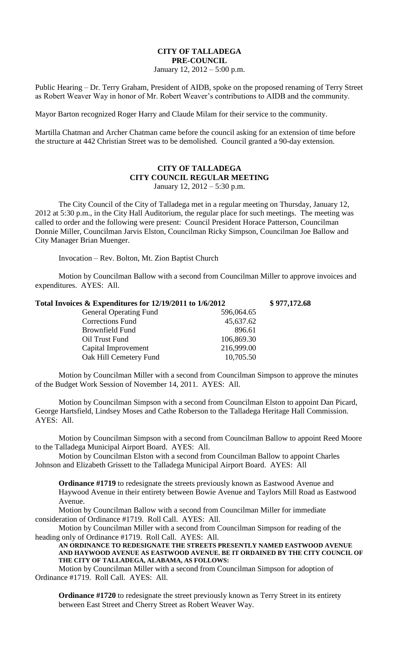## **CITY OF TALLADEGA PRE-COUNCIL**

January 12, 2012 – 5:00 p.m.

Public Hearing – Dr. Terry Graham, President of AIDB, spoke on the proposed renaming of Terry Street as Robert Weaver Way in honor of Mr. Robert Weaver's contributions to AIDB and the community.

Mayor Barton recognized Roger Harry and Claude Milam for their service to the community.

Martilla Chatman and Archer Chatman came before the council asking for an extension of time before the structure at 442 Christian Street was to be demolished. Council granted a 90-day extension.

## **CITY OF TALLADEGA CITY COUNCIL REGULAR MEETING** January 12, 2012 – 5:30 p.m.

The City Council of the City of Talladega met in a regular meeting on Thursday, January 12, 2012 at 5:30 p.m., in the City Hall Auditorium, the regular place for such meetings. The meeting was called to order and the following were present: Council President Horace Patterson, Councilman Donnie Miller, Councilman Jarvis Elston, Councilman Ricky Simpson, Councilman Joe Ballow and City Manager Brian Muenger.

Invocation – Rev. Bolton, Mt. Zion Baptist Church

Motion by Councilman Ballow with a second from Councilman Miller to approve invoices and expenditures. AYES: All.

| Total Invoices & Expenditures for 12/19/2011 to 1/6/2012 |            | \$977,172.68 |
|----------------------------------------------------------|------------|--------------|
| <b>General Operating Fund</b>                            | 596,064.65 |              |
| <b>Corrections Fund</b>                                  | 45,637.62  |              |
| Brownfield Fund                                          | 896.61     |              |
| Oil Trust Fund                                           | 106,869.30 |              |
| Capital Improvement                                      | 216,999.00 |              |
| Oak Hill Cemetery Fund                                   | 10,705.50  |              |
|                                                          |            |              |

Motion by Councilman Miller with a second from Councilman Simpson to approve the minutes of the Budget Work Session of November 14, 2011. AYES: All.

Motion by Councilman Simpson with a second from Councilman Elston to appoint Dan Picard, George Hartsfield, Lindsey Moses and Cathe Roberson to the Talladega Heritage Hall Commission. AYES: All.

Motion by Councilman Simpson with a second from Councilman Ballow to appoint Reed Moore to the Talladega Municipal Airport Board. AYES: All.

Motion by Councilman Elston with a second from Councilman Ballow to appoint Charles Johnson and Elizabeth Grissett to the Talladega Municipal Airport Board. AYES: All

**Ordinance #1719** to redesignate the streets previously known as Eastwood Avenue and Haywood Avenue in their entirety between Bowie Avenue and Taylors Mill Road as Eastwood Avenue.

Motion by Councilman Ballow with a second from Councilman Miller for immediate consideration of Ordinance #1719. Roll Call. AYES: All.

Motion by Councilman Miller with a second from Councilman Simpson for reading of the heading only of Ordinance #1719. Roll Call. AYES: All.

**AN ORDINANCE TO REDESIGNATE THE STREETS PRESENTLY NAMED EASTWOOD AVENUE AND HAYWOOD AVENUE AS EASTWOOD AVENUE. BE IT ORDAINED BY THE CITY COUNCIL OF THE CITY OF TALLADEGA, ALABAMA, AS FOLLOWS:**

Motion by Councilman Miller with a second from Councilman Simpson for adoption of Ordinance #1719. Roll Call. AYES: All.

**Ordinance #1720** to redesignate the street previously known as Terry Street in its entirety between East Street and Cherry Street as Robert Weaver Way.